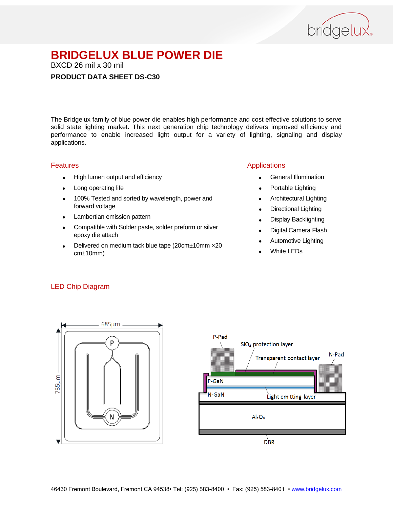

BXCD 26 mil x 30 mil

#### **PRODUCT DATA SHEET DS-C30**

The Bridgelux family of blue power die enables high performance and cost effective solutions to serve solid state lighting market. This next generation chip technology delivers improved efficiency and performance to enable increased light output for a variety of lighting, signaling and display applications.

#### Features

- High lumen output and efficiency
- Long operating life
- 100% Tested and sorted by wavelength, power and forward voltage
- Lambertian emission pattern
- Compatible with Solder paste, solder preform or silver epoxy die attach
- Delivered on medium tack blue tape (20cm±10mm ×20 cm±10mm)

#### Applications

- General Illumination
- Portable Lighting
- Architectural Lighting
- Directional Lighting
- Display Backlighting
- Digital Camera Flash
- Automotive Lighting
- White LEDs

#### LED Chip Diagram



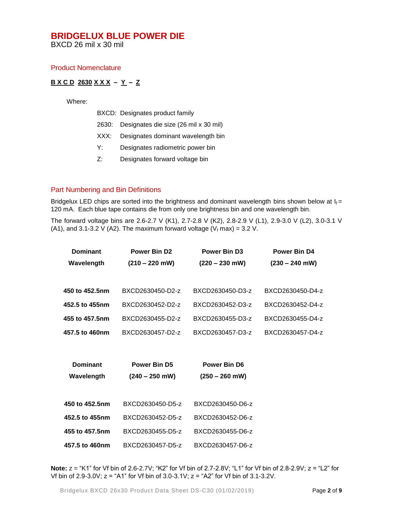BXCD 26 mil x 30 mil

#### Product Nomenclature

#### **B X C D 2630 X X X – Y – Z**

Where:

|    | BXCD: Designates product family             |
|----|---------------------------------------------|
|    | 2630: Designates die size (26 mil x 30 mil) |
|    | XXX: Designates dominant wavelength bin     |
| Y: | Designates radiometric power bin            |

- 
- Z: Designates forward voltage bin

#### Part Numbering and Bin Definitions

Bridgelux LED chips are sorted into the brightness and dominant wavelength bins shown below at  $I_f =$ 120 mA. Each blue tape contains die from only one brightness bin and one wavelength bin.

The forward voltage bins are 2.6-2.7 V (K1), 2.7-2.8 V (K2), 2.8-2.9 V (L1), 2.9-3.0 V (L2), 3.0-3.1 V (A1), and 3.1-3.2 V (A2). The maximum forward voltage ( $V_f$  max) = 3.2 V.

| <b>Dominant</b> | Power Bin D <sub>2</sub> | <b>Power Bin D3</b> | <b>Power Bin D4</b> |  |
|-----------------|--------------------------|---------------------|---------------------|--|
| Wavelength      | $(210 - 220$ mW)         | $(220 - 230$ mW)    | $(230 - 240$ mW)    |  |
|                 |                          |                     |                     |  |
| 450 to 452.5nm  | BXCD2630450-D2-z         | BXCD2630450-D3-z    | BXCD2630450-D4-z    |  |
| 452.5 to 455nm  | BXCD2630452-D2-z         | BXCD2630452-D3-z    | BXCD2630452-D4-z    |  |
| 455 to 457.5nm  | BXCD2630455-D2-z         | BXCD2630455-D3-z    | BXCD2630455-D4-z    |  |
| 457.5 to 460nm  | BXCD2630457-D2-z         | BXCD2630457-D3-z    | BXCD2630457-D4-z    |  |
|                 |                          |                     |                     |  |
| <b>Dominant</b> | Power Bin D5             | Power Bin D6        |                     |  |
| Wavelength      | $(240 - 250$ mW)         | $(250 - 260$ mW)    |                     |  |
|                 |                          |                     |                     |  |
| 450 to 452.5nm  | BXCD2630450-D5-z         | BXCD2630450-D6-z    |                     |  |
|                 |                          |                     |                     |  |
| 452.5 to 455nm  | BXCD2630452-D5-z         | BXCD2630452-D6-z    |                     |  |
| 455 to 457.5nm  | BXCD2630455-D5-z         | BXCD2630455-D6-z    |                     |  |
| 457.5 to 460nm  | BXCD2630457-D5-z         | BXCD2630457-D6-z    |                     |  |

**Note:** z = "K1" for Vf bin of 2.6-2.7V; "K2" for Vf bin of 2.7-2.8V; "L1" for Vf bin of 2.8-2.9V; z = "L2" for Vf bin of 2.9-3.0V; z = "A1" for Vf bin of 3.0-3.1V; z = "A2" for Vf bin of 3.1-3.2V.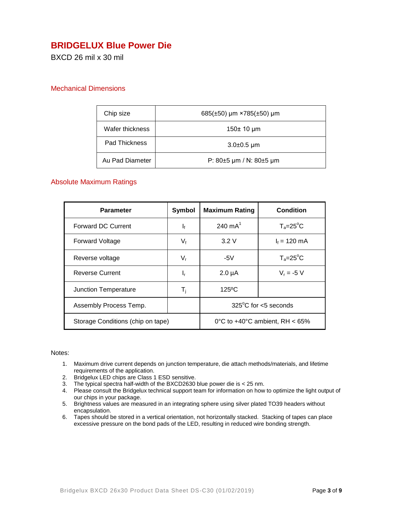## **BRIDGELUX Blue Power Die**

BXCD 26 mil x 30 mil

#### Mechanical Dimensions

| Chip size       | 685( $\pm$ 50) µm ×785( $\pm$ 50) µm |
|-----------------|--------------------------------------|
| Wafer thickness | 150± 10 µm                           |
| Pad Thickness   | $3.0\pm0.5 \,\mu m$                  |
| Au Pad Diameter | P: $80\pm5$ µm / N: $80\pm5$ µm      |

#### Absolute Maximum Ratings

| <b>Parameter</b>                  | Symbol                                   | <b>Maximum Rating</b>          | Condition          |
|-----------------------------------|------------------------------------------|--------------------------------|--------------------|
| <b>Forward DC Current</b>         | $\mathbf{I}_{\text{f}}$                  | 240 $mA^1$                     | $T_a = 25^\circ C$ |
| <b>Forward Voltage</b>            | $V_{f}$                                  | 3.2V                           | $I_f = 120$ mA     |
| Reverse voltage                   | $V_{\rm r}$                              | $-5V$                          | $T_a = 25^\circ C$ |
| <b>Reverse Current</b>            | ı,                                       | $2.0 \mu A$                    | $V_r = -5 V$       |
| Junction Temperature              | T <sub>i</sub>                           | $125^{\circ}$ C                |                    |
| Assembly Process Temp.            |                                          | $325^{\circ}$ C for <5 seconds |                    |
| Storage Conditions (chip on tape) | 0°C to $+40^{\circ}$ C ambient. RH < 65% |                                |                    |

#### Notes:

- 1. Maximum drive current depends on junction temperature, die attach methods/materials, and lifetime requirements of the application.
- 2. Bridgelux LED chips are Class 1 ESD sensitive.
- 3. The typical spectra half-width of the BXCD2630 blue power die is < 25 nm.
- 4. Please consult the Bridgelux technical support team for information on how to optimize the light output of our chips in your package.
- 5. Brightness values are measured in an integrating sphere using silver plated TO39 headers without encapsulation.
- 6. Tapes should be stored in a vertical orientation, not horizontally stacked. Stacking of tapes can place excessive pressure on the bond pads of the LED, resulting in reduced wire bonding strength.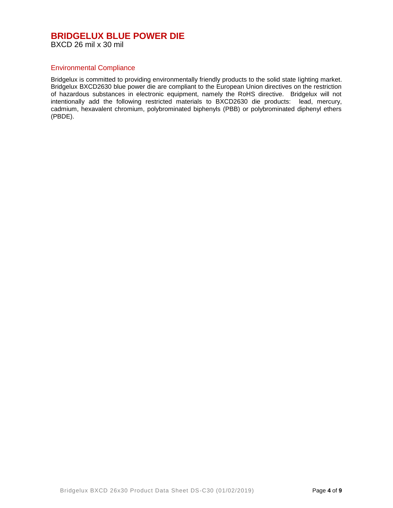#### **BRIDGELUX BLUE POWER DIE** BXCD 26 mil x 30 mil

#### Environmental Compliance

Bridgelux is committed to providing environmentally friendly products to the solid state lighting market. Bridgelux BXCD2630 blue power die are compliant to the European Union directives on the restriction of hazardous substances in electronic equipment, namely the RoHS directive. Bridgelux will not intentionally add the following restricted materials to BXCD2630 die products: lead, mercury, cadmium, hexavalent chromium, polybrominated biphenyls (PBB) or polybrominated diphenyl ethers (PBDE).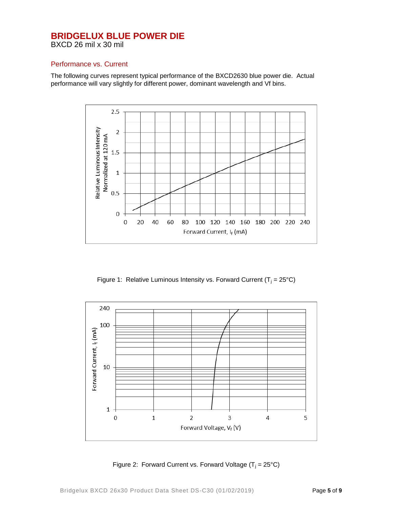BXCD 26 mil x 30 mil

#### Performance vs. Current

The following curves represent typical performance of the BXCD2630 blue power die. Actual performance will vary slightly for different power, dominant wavelength and Vf bins.



Figure 1: Relative Luminous Intensity vs. Forward Current ( $T_i = 25^{\circ}C$ )



Figure 2: Forward Current vs. Forward Voltage  $(T_i = 25^{\circ}C)$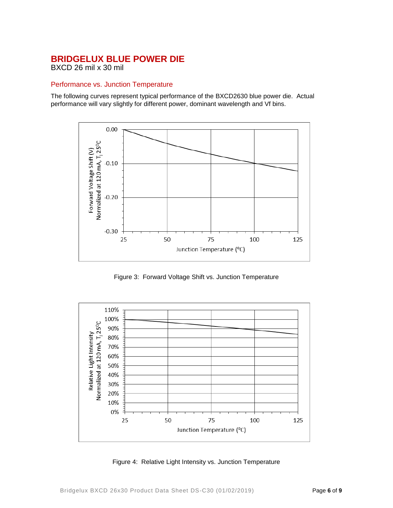BXCD 26 mil x 30 mil

#### Performance vs. Junction Temperature

The following curves represent typical performance of the BXCD2630 blue power die. Actual performance will vary slightly for different power, dominant wavelength and Vf bins.



Figure 3: Forward Voltage Shift vs. Junction Temperature



Figure 4: Relative Light Intensity vs. Junction Temperature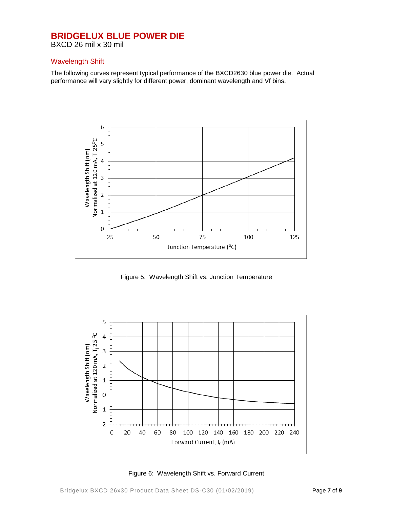BXCD 26 mil x 30 mil

#### Wavelength Shift

The following curves represent typical performance of the BXCD2630 blue power die. Actual performance will vary slightly for different power, dominant wavelength and Vf bins.



Figure 5: Wavelength Shift vs. Junction Temperature



Figure 6: Wavelength Shift vs. Forward Current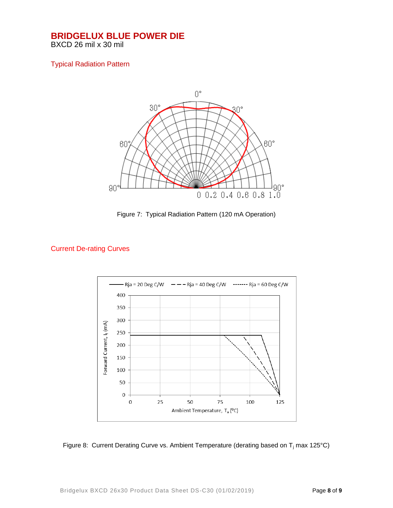BXCD 26 mil x 30 mil

#### Typical Radiation Pattern



Figure 7: Typical Radiation Pattern (120 mA Operation)

#### Current De-rating Curves